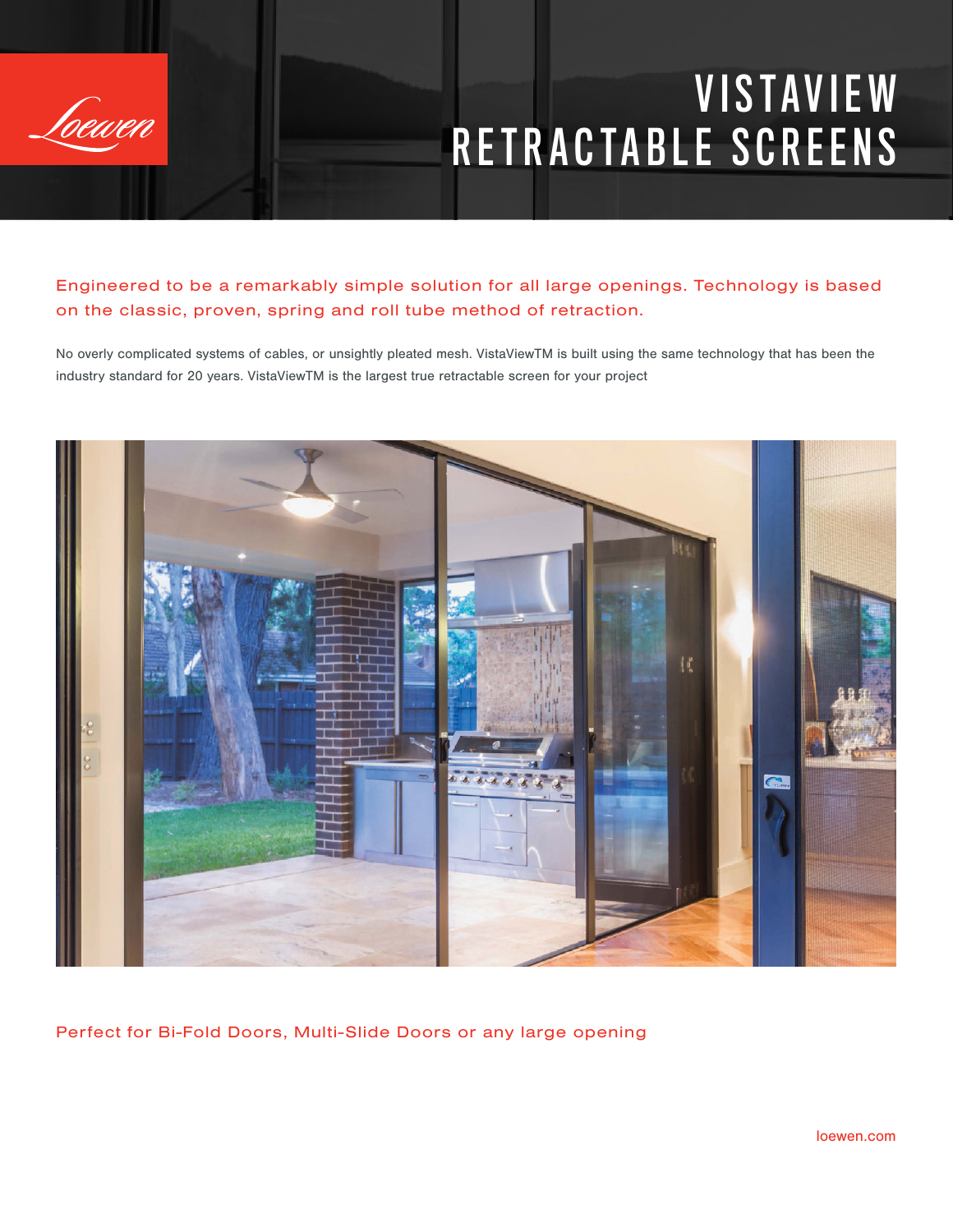

## **VISTAVIEW** RETRACTABLE SCREENS

Engineered to be a remarkably simple solution for all large openings. Technology is based on the classic, proven, spring and roll tube method of retraction.

No overly complicated systems of cables, or unsightly pleated mesh. VistaViewTM is built using the same technology that has been the industry standard for 20 years. VistaViewTM is the largest true retractable screen for your project



Perfect for Bi-Fold Doors, Multi-Slide Doors or any large opening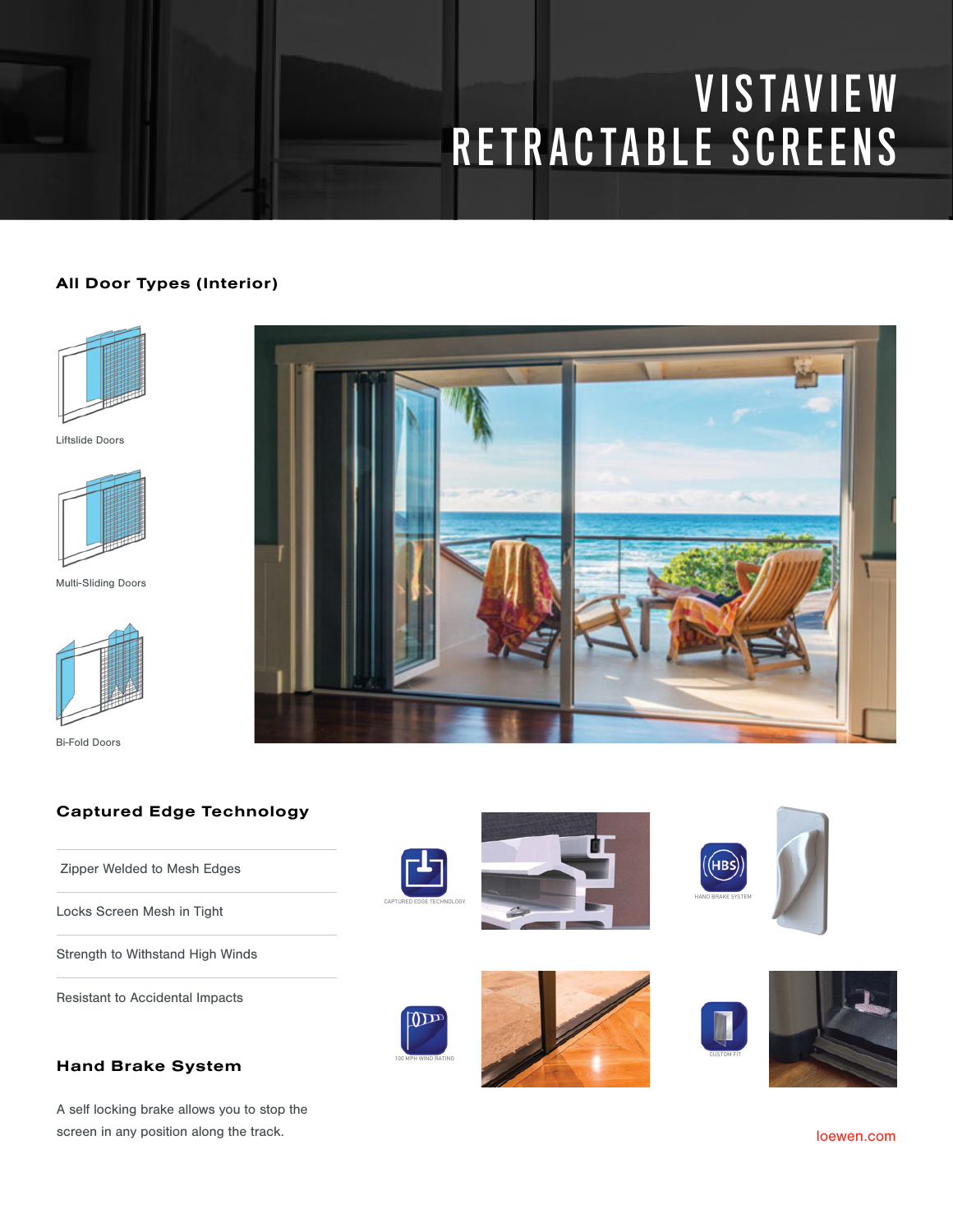# **VISTAVIEW** RETRACTABLE SCREENS

#### All Door Types (Interior)



Liftslide Doors



Multi-Sliding Doors



Bi-Fold Doors



#### Captured Edge Technology

Zipper Welded to Mesh Edges

Locks Screen Mesh in Tight

Strength to Withstand High Winds

Resistant to Accidental Impacts



A self locking brake allows you to stop the screen in any position along the track.